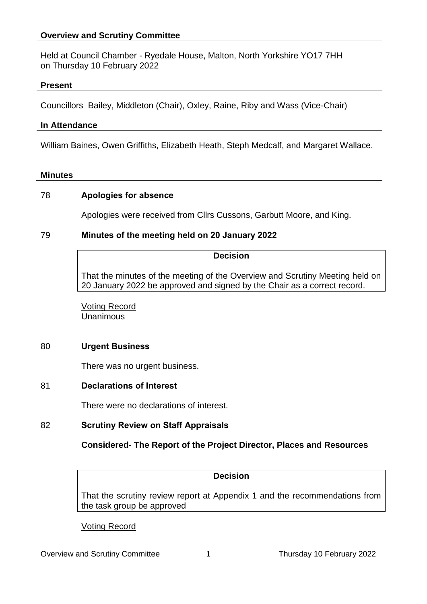### **Overview and Scrutiny Committee**

Held at Council Chamber - Ryedale House, Malton, North Yorkshire YO17 7HH on Thursday 10 February 2022

#### **Present**

Councillors Bailey, Middleton (Chair), Oxley, Raine, Riby and Wass (Vice-Chair)

#### **In Attendance**

William Baines, Owen Griffiths, Elizabeth Heath, Steph Medcalf, and Margaret Wallace.

#### **Minutes**

### 78 **Apologies for absence**

Apologies were received from Cllrs Cussons, Garbutt Moore, and King.

### 79 **Minutes of the meeting held on 20 January 2022**

#### **Decision**

That the minutes of the meeting of the Overview and Scrutiny Meeting held on 20 January 2022 be approved and signed by the Chair as a correct record.

Voting Record Unanimous

### 80 **Urgent Business**

There was no urgent business.

### 81 **Declarations of Interest**

There were no declarations of interest.

### 82 **Scrutiny Review on Staff Appraisals**

# **Considered- The Report of the Project Director, Places and Resources**

#### **Decision**

That the scrutiny review report at Appendix 1 and the recommendations from the task group be approved

Voting Record